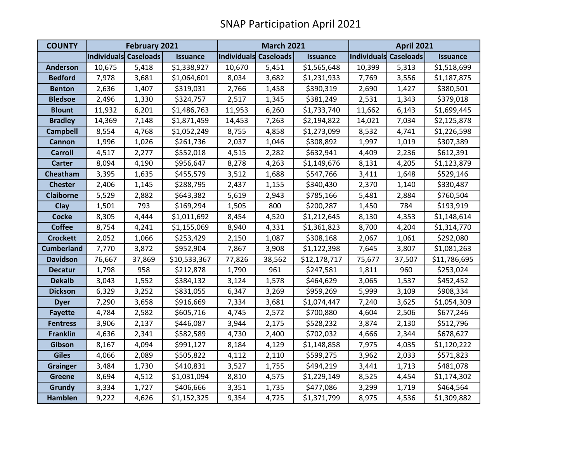| <b>COUNTY</b>     | <b>February 2021</b>  |        |                 | <b>March 2021</b>     |        |                 | <b>April 2021</b>     |        |                 |
|-------------------|-----------------------|--------|-----------------|-----------------------|--------|-----------------|-----------------------|--------|-----------------|
|                   | Individuals Caseloads |        | <b>Issuance</b> | Individuals Caseloads |        | <b>Issuance</b> | Individuals Caseloads |        | <b>Issuance</b> |
| <b>Anderson</b>   | 10,675                | 5,418  | \$1,338,927     | 10,670                | 5,451  | \$1,565,648     | 10,399                | 5,313  | \$1,518,699     |
| <b>Bedford</b>    | 7,978                 | 3,681  | \$1,064,601     | 8,034                 | 3,682  | \$1,231,933     | 7,769                 | 3,556  | \$1,187,875     |
| <b>Benton</b>     | 2,636                 | 1,407  | \$319,031       | 2,766                 | 1,458  | \$390,319       | 2,690                 | 1,427  | \$380,501       |
| <b>Bledsoe</b>    | 2,496                 | 1,330  | \$324,757       | 2,517                 | 1,345  | \$381,249       | 2,531                 | 1,343  | \$379,018       |
| <b>Blount</b>     | 11,932                | 6,201  | \$1,486,763     | 11,953                | 6,260  | \$1,733,740     | 11,662                | 6,143  | \$1,699,445     |
| <b>Bradley</b>    | 14,369                | 7,148  | \$1,871,459     | 14,453                | 7,263  | \$2,194,822     | 14,021                | 7,034  | \$2,125,878     |
| <b>Campbell</b>   | 8,554                 | 4,768  | \$1,052,249     | 8,755                 | 4,858  | \$1,273,099     | 8,532                 | 4,741  | \$1,226,598     |
| <b>Cannon</b>     | 1,996                 | 1,026  | \$261,736       | 2,037                 | 1,046  | \$308,892       | 1,997                 | 1,019  | \$307,389       |
| <b>Carroll</b>    | 4,517                 | 2,277  | \$552,018       | 4,515                 | 2,282  | \$632,941       | 4,409                 | 2,236  | \$612,391       |
| <b>Carter</b>     | 8,094                 | 4,190  | \$956,647       | 8,278                 | 4,263  | \$1,149,676     | 8,131                 | 4,205  | \$1,123,879     |
| Cheatham          | 3,395                 | 1,635  | \$455,579       | 3,512                 | 1,688  | \$547,766       | 3,411                 | 1,648  | \$529,146       |
| <b>Chester</b>    | 2,406                 | 1,145  | \$288,795       | 2,437                 | 1,155  | \$340,430       | 2,370                 | 1,140  | \$330,487       |
| <b>Claiborne</b>  | 5,529                 | 2,882  | \$643,382       | 5,619                 | 2,943  | \$785,166       | 5,481                 | 2,884  | \$760,504       |
| Clay              | 1,501                 | 793    | \$169,294       | 1,505                 | 800    | \$200,287       | 1,450                 | 784    | \$193,919       |
| <b>Cocke</b>      | 8,305                 | 4,444  | \$1,011,692     | 8,454                 | 4,520  | \$1,212,645     | 8,130                 | 4,353  | \$1,148,614     |
| <b>Coffee</b>     | 8,754                 | 4,241  | \$1,155,069     | 8,940                 | 4,331  | \$1,361,823     | 8,700                 | 4,204  | \$1,314,770     |
| <b>Crockett</b>   | 2,052                 | 1,066  | \$253,429       | 2,150                 | 1,087  | \$308,168       | 2,067                 | 1,061  | \$292,080       |
| <b>Cumberland</b> | 7,770                 | 3,872  | \$952,904       | 7,867                 | 3,908  | \$1,122,398     | 7,645                 | 3,807  | \$1,081,263     |
| <b>Davidson</b>   | 76,667                | 37,869 | \$10,533,367    | 77,826                | 38,562 | \$12,178,717    | 75,677                | 37,507 | \$11,786,695    |
| <b>Decatur</b>    | 1,798                 | 958    | \$212,878       | 1,790                 | 961    | \$247,581       | 1,811                 | 960    | \$253,024       |
| <b>Dekalb</b>     | 3,043                 | 1,552  | \$384,132       | 3,124                 | 1,578  | \$464,629       | 3,065                 | 1,537  | \$452,452       |
| <b>Dickson</b>    | 6,329                 | 3,252  | \$831,055       | 6,347                 | 3,269  | \$959,269       | 5,999                 | 3,109  | \$908,334       |
| <b>Dyer</b>       | 7,290                 | 3,658  | \$916,669       | 7,334                 | 3,681  | \$1,074,447     | 7,240                 | 3,625  | \$1,054,309     |
| <b>Fayette</b>    | 4,784                 | 2,582  | \$605,716       | 4,745                 | 2,572  | \$700,880       | 4,604                 | 2,506  | \$677,246       |
| <b>Fentress</b>   | 3,906                 | 2,137  | \$446,087       | 3,944                 | 2,175  | \$528,232       | 3,874                 | 2,130  | \$512,796       |
| <b>Franklin</b>   | 4,636                 | 2,341  | \$582,589       | 4,730                 | 2,400  | \$702,032       | 4,666                 | 2,344  | \$678,627       |
| Gibson            | 8,167                 | 4,094  | \$991,127       | 8,184                 | 4,129  | \$1,148,858     | 7,975                 | 4,035  | \$1,120,222     |
| <b>Giles</b>      | 4,066                 | 2,089  | \$505,822       | 4,112                 | 2,110  | \$599,275       | 3,962                 | 2,033  | \$571,823       |
| <b>Grainger</b>   | 3,484                 | 1,730  | \$410,831       | 3,527                 | 1,755  | \$494,219       | 3,441                 | 1,713  | \$481,078       |
| <b>Greene</b>     | 8,694                 | 4,512  | \$1,031,094     | 8,810                 | 4,575  | \$1,229,149     | 8,525                 | 4,454  | \$1,174,302     |
| <b>Grundy</b>     | 3,334                 | 1,727  | \$406,666       | 3,351                 | 1,735  | \$477,086       | 3,299                 | 1,719  | \$464,564       |
| <b>Hamblen</b>    | 9,222                 | 4,626  | \$1,152,325     | 9,354                 | 4,725  | \$1,371,799     | 8,975                 | 4,536  | \$1,309,882     |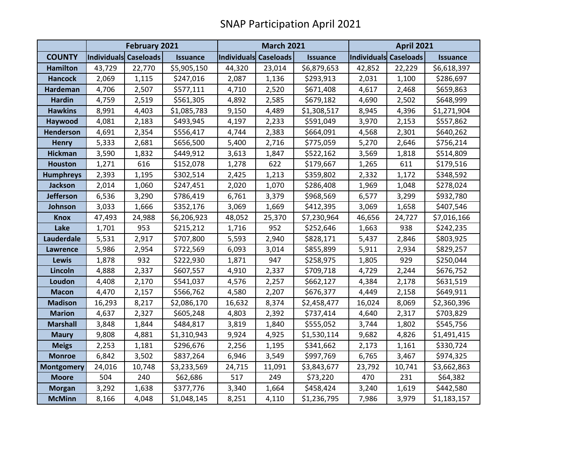|                   | <b>February 2021</b>  |        |                 | <b>March 2021</b>     |        |                 | <b>April 2021</b>     |        |                 |
|-------------------|-----------------------|--------|-----------------|-----------------------|--------|-----------------|-----------------------|--------|-----------------|
| <b>COUNTY</b>     | Individuals Caseloads |        | <b>Issuance</b> | Individuals Caseloads |        | <b>Issuance</b> | Individuals Caseloads |        | <b>Issuance</b> |
| <b>Hamilton</b>   | 43,729                | 22,770 | \$5,905,150     | 44,320                | 23,014 | \$6,879,653     | 42,852                | 22,229 | \$6,618,397     |
| <b>Hancock</b>    | 2,069                 | 1,115  | \$247,016       | 2,087                 | 1,136  | \$293,913       | 2,031                 | 1,100  | \$286,697       |
| <b>Hardeman</b>   | 4,706                 | 2,507  | \$577,111       | 4,710                 | 2,520  | \$671,408       | 4,617                 | 2,468  | \$659,863       |
| <b>Hardin</b>     | 4,759                 | 2,519  | \$561,305       | 4,892                 | 2,585  | \$679,182       | 4,690                 | 2,502  | \$648,999       |
| <b>Hawkins</b>    | 8,991                 | 4,403  | \$1,085,783     | 9,150                 | 4,489  | \$1,308,517     | 8,945                 | 4,396  | \$1,271,904     |
| Haywood           | 4,081                 | 2,183  | \$493,945       | 4,197                 | 2,233  | \$591,049       | 3,970                 | 2,153  | \$557,862       |
| <b>Henderson</b>  | 4,691                 | 2,354  | \$556,417       | 4,744                 | 2,383  | \$664,091       | 4,568                 | 2,301  | \$640,262       |
| <b>Henry</b>      | 5,333                 | 2,681  | \$656,500       | 5,400                 | 2,716  | \$775,059       | 5,270                 | 2,646  | \$756,214       |
| <b>Hickman</b>    | 3,590                 | 1,832  | \$449,912       | 3,613                 | 1,847  | \$522,162       | 3,569                 | 1,818  | \$514,809       |
| <b>Houston</b>    | 1,271                 | 616    | \$152,078       | 1,278                 | 622    | \$179,667       | 1,265                 | 611    | \$179,516       |
| <b>Humphreys</b>  | 2,393                 | 1,195  | \$302,514       | 2,425                 | 1,213  | \$359,802       | 2,332                 | 1,172  | \$348,592       |
| <b>Jackson</b>    | 2,014                 | 1,060  | \$247,451       | 2,020                 | 1,070  | \$286,408       | 1,969                 | 1,048  | \$278,024       |
| <b>Jefferson</b>  | 6,536                 | 3,290  | \$786,419       | 6,761                 | 3,379  | \$968,569       | 6,577                 | 3,299  | \$932,780       |
| Johnson           | 3,033                 | 1,666  | \$352,176       | 3,069                 | 1,669  | \$412,395       | 3,069                 | 1,658  | \$407,546       |
| <b>Knox</b>       | 47,493                | 24,988 | \$6,206,923     | 48,052                | 25,370 | \$7,230,964     | 46,656                | 24,727 | \$7,016,166     |
| Lake              | 1,701                 | 953    | \$215,212       | 1,716                 | 952    | \$252,646       | 1,663                 | 938    | \$242,235       |
| Lauderdale        | 5,531                 | 2,917  | \$707,800       | 5,593                 | 2,940  | \$828,171       | 5,437                 | 2,846  | \$803,925       |
| <b>Lawrence</b>   | 5,986                 | 2,954  | \$722,569       | 6,093                 | 3,014  | \$855,899       | 5,911                 | 2,934  | \$829,257       |
| Lewis             | 1,878                 | 932    | \$222,930       | 1,871                 | 947    | \$258,975       | 1,805                 | 929    | \$250,044       |
| Lincoln           | 4,888                 | 2,337  | \$607,557       | 4,910                 | 2,337  | \$709,718       | 4,729                 | 2,244  | \$676,752       |
| Loudon            | 4,408                 | 2,170  | \$541,037       | 4,576                 | 2,257  | \$662,127       | 4,384                 | 2,178  | \$631,519       |
| <b>Macon</b>      | 4,470                 | 2,157  | \$566,762       | 4,580                 | 2,207  | \$676,377       | 4,449                 | 2,158  | \$649,911       |
| <b>Madison</b>    | 16,293                | 8,217  | \$2,086,170     | 16,632                | 8,374  | \$2,458,477     | 16,024                | 8,069  | \$2,360,396     |
| <b>Marion</b>     | 4,637                 | 2,327  | \$605,248       | 4,803                 | 2,392  | \$737,414       | 4,640                 | 2,317  | \$703,829       |
| <b>Marshall</b>   | 3,848                 | 1,844  | \$484,817       | 3,819                 | 1,840  | \$555,052       | 3,744                 | 1,802  | \$545,756       |
| <b>Maury</b>      | 9,808                 | 4,881  | \$1,310,943     | 9,924                 | 4,925  | \$1,530,114     | 9,682                 | 4,826  | \$1,491,415     |
| <b>Meigs</b>      | 2,253                 | 1,181  | \$296,676       | 2,256                 | 1,195  | \$341,662       | 2,173                 | 1,161  | \$330,724       |
| <b>Monroe</b>     | 6,842                 | 3,502  | \$837,264       | 6,946                 | 3,549  | \$997,769       | 6,765                 | 3,467  | \$974,325       |
| <b>Montgomery</b> | 24,016                | 10,748 | \$3,233,569     | 24,715                | 11,091 | \$3,843,677     | 23,792                | 10,741 | \$3,662,863     |
| <b>Moore</b>      | 504                   | 240    | \$62,686        | 517                   | 249    | \$73,220        | 470                   | 231    | \$64,382        |
| <b>Morgan</b>     | 3,292                 | 1,638  | \$377,776       | 3,340                 | 1,664  | \$458,424       | 3,240                 | 1,619  | \$442,580       |
| <b>McMinn</b>     | 8,166                 | 4,048  | \$1,048,145     | 8,251                 | 4,110  | \$1,236,795     | 7,986                 | 3,979  | \$1,183,157     |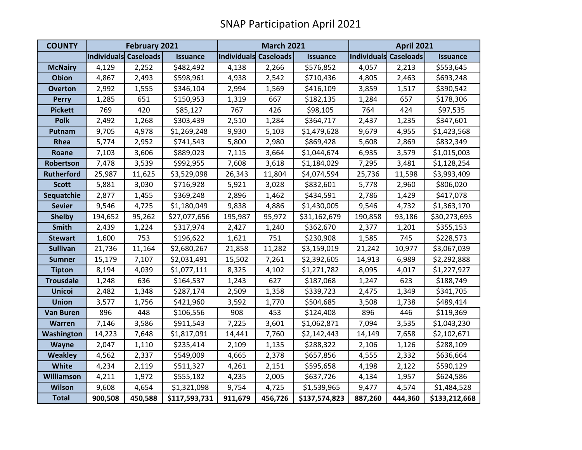| <b>COUNTY</b>     | <b>February 2021</b>  |         |                 | <b>March 2021</b>     |         |                 | <b>April 2021</b>     |         |                 |
|-------------------|-----------------------|---------|-----------------|-----------------------|---------|-----------------|-----------------------|---------|-----------------|
|                   | Individuals Caseloads |         | <b>Issuance</b> | Individuals Caseloads |         | <b>Issuance</b> | Individuals Caseloads |         | <b>Issuance</b> |
| <b>McNairy</b>    | 4,129                 | 2,252   | \$482,492       | 4,138                 | 2,266   | \$576,852       | 4,057                 | 2,213   | \$553,645       |
| <b>Obion</b>      | 4,867                 | 2,493   | \$598,961       | 4,938                 | 2,542   | \$710,436       | 4,805                 | 2,463   | \$693,248       |
| <b>Overton</b>    | 2,992                 | 1,555   | \$346,104       | 2,994                 | 1,569   | \$416,109       | 3,859                 | 1,517   | \$390,542       |
| <b>Perry</b>      | 1,285                 | 651     | \$150,953       | 1,319                 | 667     | \$182,135       | 1,284                 | 657     | \$178,306       |
| <b>Pickett</b>    | 769                   | 420     | \$85,127        | 767                   | 426     | \$98,105        | 764                   | 424     | \$97,535        |
| <b>Polk</b>       | 2,492                 | 1,268   | \$303,439       | 2,510                 | 1,284   | \$364,717       | 2,437                 | 1,235   | \$347,601       |
| Putnam            | 9,705                 | 4,978   | \$1,269,248     | 9,930                 | 5,103   | \$1,479,628     | 9,679                 | 4,955   | \$1,423,568     |
| Rhea              | 5,774                 | 2,952   | \$741,543       | 5,800                 | 2,980   | \$869,428       | 5,608                 | 2,869   | \$832,349       |
| Roane             | 7,103                 | 3,606   | \$889,023       | 7,115                 | 3,664   | \$1,044,674     | 6,935                 | 3,579   | \$1,015,003     |
| Robertson         | 7,478                 | 3,539   | \$992,955       | 7,608                 | 3,618   | \$1,184,029     | 7,295                 | 3,481   | \$1,128,254     |
| <b>Rutherford</b> | 25,987                | 11,625  | \$3,529,098     | 26,343                | 11,804  | \$4,074,594     | 25,736                | 11,598  | \$3,993,409     |
| <b>Scott</b>      | 5,881                 | 3,030   | \$716,928       | 5,921                 | 3,028   | \$832,601       | 5,778                 | 2,960   | \$806,020       |
| Sequatchie        | 2,877                 | 1,455   | \$369,248       | 2,896                 | 1,462   | \$434,591       | 2,786                 | 1,429   | \$417,078       |
| <b>Sevier</b>     | 9,546                 | 4,725   | \$1,180,049     | 9,838                 | 4,886   | \$1,430,005     | 9,546                 | 4,732   | \$1,363,170     |
| <b>Shelby</b>     | 194,652               | 95,262  | \$27,077,656    | 195,987               | 95,972  | \$31,162,679    | 190,858               | 93,186  | \$30,273,695    |
| <b>Smith</b>      | 2,439                 | 1,224   | \$317,974       | 2,427                 | 1,240   | \$362,670       | 2,377                 | 1,201   | \$355,153       |
| <b>Stewart</b>    | 1,600                 | 753     | \$196,622       | 1,621                 | 751     | \$230,908       | 1,585                 | 745     | \$228,573       |
| <b>Sullivan</b>   | 21,736                | 11,164  | \$2,680,267     | 21,858                | 11,282  | \$3,159,019     | 21,242                | 10,977  | \$3,067,039     |
| <b>Sumner</b>     | 15,179                | 7,107   | \$2,031,491     | 15,502                | 7,261   | \$2,392,605     | 14,913                | 6,989   | \$2,292,888     |
| <b>Tipton</b>     | 8,194                 | 4,039   | \$1,077,111     | 8,325                 | 4,102   | \$1,271,782     | 8,095                 | 4,017   | \$1,227,927     |
| <b>Trousdale</b>  | 1,248                 | 636     | \$164,537       | 1,243                 | 627     | \$187,068       | 1,247                 | 623     | \$188,749       |
| <b>Unicoi</b>     | 2,482                 | 1,348   | \$287,174       | 2,509                 | 1,358   | \$339,723       | 2,475                 | 1,349   | \$341,705       |
| <b>Union</b>      | 3,577                 | 1,756   | \$421,960       | 3,592                 | 1,770   | \$504,685       | 3,508                 | 1,738   | \$489,414       |
| <b>Van Buren</b>  | 896                   | 448     | \$106,556       | 908                   | 453     | \$124,408       | 896                   | 446     | \$119,369       |
| Warren            | 7,146                 | 3,586   | \$911,543       | 7,225                 | 3,601   | \$1,062,871     | 7,094                 | 3,535   | \$1,043,230     |
| Washington        | 14,223                | 7,648   | \$1,817,091     | 14,441                | 7,760   | \$2,142,443     | 14,149                | 7,658   | \$2,102,671     |
| Wayne             | 2,047                 | 1,110   | \$235,414       | 2,109                 | 1,135   | \$288,322       | 2,106                 | 1,126   | \$288,109       |
| <b>Weakley</b>    | 4,562                 | 2,337   | \$549,009       | 4,665                 | 2,378   | \$657,856       | 4,555                 | 2,332   | \$636,664       |
| <b>White</b>      | 4,234                 | 2,119   | \$511,327       | 4,261                 | 2,151   | \$595,658       | 4,198                 | 2,122   | \$590,129       |
| <b>Williamson</b> | 4,211                 | 1,972   | \$555,182       | 4,235                 | 2,005   | \$637,726       | 4,134                 | 1,957   | \$624,586       |
| <b>Wilson</b>     | 9,608                 | 4,654   | \$1,321,098     | 9,754                 | 4,725   | \$1,539,965     | 9,477                 | 4,574   | \$1,484,528     |
| <b>Total</b>      | 900,508               | 450,588 | \$117,593,731   | 911,679               | 456,726 | \$137,574,823   | 887,260               | 444,360 | \$133,212,668   |